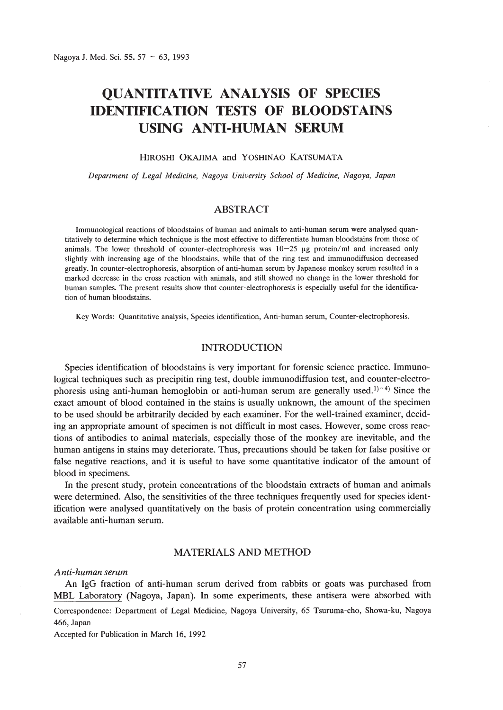# **QUANTITATIVE ANALYSIS OF SPECIES IDENTIFICATION TESTS OF BLOODSTAINS USING ANTI-HUMAN SERUM**

# HIROSHI OKAJIMA and YOSHINAO KATSUMATA

*Department of Legal Medicine, Nagoya University School of Medicine, Nagoya, Japan*

# ABSTRACT

Immunological reactions of bloodstains of human and animals to anti-human serum were analysed quantitatively to determine which technique is the most effective to differentiate human bloodstains from those of animals. The lower threshold of counter-electrophoresis was  $10-25$   $\mu$ g protein/ml and increased only slightly with increasing age of the bloodstains, while that of the ring test and immunodiffusion decreased greatly. In counter-electrophoresis, absorption of anti-human serum by Japanese monkey serum resulted in a marked decrease in the cross reaction with animals, and still showed no change in the lower threshold for human samples. The present results show that counter-electrophoresis is especially useful for the identification of human bloodstains.

Key Words: Quantitative analysis, Species identification, Anti-human serum, Counter-electrophoresis.

# INTRODUCTION

Species identification of bloodstains is very important for forensic science practice. Immunological techniques such as precipitin ring test, double immunodiffusion test, and counter-electrophoresis using anti-human hemoglobin or anti-human serum are generally used.<sup> $1$ </sup><sup>-4</sup>) Since the exact amount of blood contained in the stains is usually unknown, the amount of the specimen to be used should be arbitrarily decided by each examiner. For the well-trained examiner, deciding an appropriate amount of specimen is not difficult in most cases. However, some cross reactions of antibodies to animal materials, especially those of the monkey are inevitable, and the human antigens in stains may deteriorate. Thus, precautions should be taken for false positive or false negative reactions, and it is useful to have some quantitative indicator of the amount of blood in specimens.

In the present study, protein concentrations of the bloodstain extracts of human and animals were determined. Also, the sensitivities of the three techniques frequently used for species identification were analysed quantitatively on the basis of protein concentration using commercially available anti-human serum.

# MATERIALS AND METHOD

## *Anti-human serum*

An IgG fraction of anti-human serum derived from rabbits or goats was purchased from MBL Laboratory (Nagoya, Japan). In some experiments, these antisera were absorbed with Correspondence: Department of Legal Medicine, Nagoya University, 65 Tsuruma-cho, Showa-ku, Nagoya 466, Japan

Accepted for Publication in March 16, 1992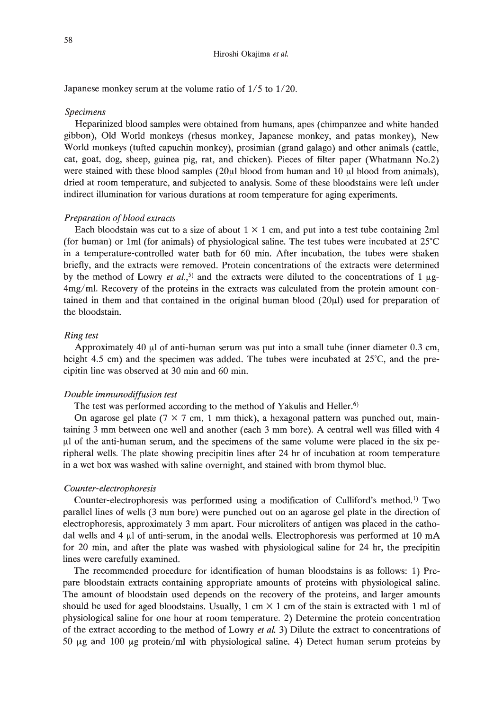Japanese monkey serum at the volume ratio of  $1/5$  to  $1/20$ .

#### *Specimens*

Heparinized blood samples were obtained from humans, apes (chimpanzee and white handed gibbon), Old World monkeys (rhesus monkey, Japanese monkey, and patas monkey), New World monkeys (tufted capuchin monkey), prosimian (grand galago) and other animals (cattle, cat, goat, dog, sheep, guinea pig, rat, and chicken). Pieces of filter paper (Whatmann No.2) were stained with these blood samples (20 $\mu$ l blood from human and 10  $\mu$ l blood from animals), dried at room temperature, and subjected to analysis. Some of these bloodstains were left under indirect illumination for various durations at room temperature for aging experiments.

### *Preparation of blood extracts*

Each bloodstain was cut to a size of about  $1 \times 1$  cm, and put into a test tube containing 2ml (for human) or 1ml (for animals) of physiological saline. The test tubes were incubated at  $25^{\circ}$ C in a temperature-controlled water bath for 60 min. After incubation, the tubes were shaken briefly, and the extracts were removed. Protein concentrations of the extracts were determined by the method of Lowry *et al.*,<sup>5)</sup> and the extracts were diluted to the concentrations of 1  $\mu$ g-4mg/ml. Recovery of the proteins in the extracts was calculated from the protein amount contained in them and that contained in the original human blood  $(20\mu l)$  used for preparation of the bloodstain.

#### *Ring test*

Approximately 40  $\mu$ l of anti-human serum was put into a small tube (inner diameter 0.3 cm, height 4.5 cm) and the specimen was added. The tubes were incubated at  $25^{\circ}$ C, and the precipitin line was observed at 30 min and 60 min.

#### *Double immunodiffusion test*

The test was performed according to the method of Yakulis and Heller.<sup>6)</sup>

On agarose gel plate ( $7 \times 7$  cm, 1 mm thick), a hexagonal pattern was punched out, maintaining 3 mm between one well and another (each 3 mm bore). A central well was filled with 4  $\mu$ l of the anti-human serum, and the specimens of the same volume were placed in the six peripheral wells. The plate showing precipitin lines after 24 hr of incubation at room temperature in a wet box was washed with saline overnight, and stained with brom thymol blue.

## *Counter-electrophoresis*

Counter-electrophoresis was performed using a modification of Culliford's method. 1) Two parallel lines of wells (3 mm bore) were punched out on an agarose gel plate in the direction of electrophoresis, approximately 3 mm apart. Four microliters of antigen was placed in the cathodal wells and 4  $\mu$ l of anti-serum, in the anodal wells. Electrophoresis was performed at 10 mA for 20 min, and after the plate was washed with physiological saline for 24 hr, the precipitin lines were carefully examined.

The recommended procedure for identification of human bloodstains is as follows: 1) Prepare bloodstain extracts containing appropriate amounts of proteins with physiological saline. The amount of bloodstain used depends on the recovery of the proteins, and larger amounts should be used for aged bloodstains. Usually, 1 cm  $\times$  1 cm of the stain is extracted with 1 ml of physiological saline for one hour at room temperature. 2) Determine the protein concentration of the extract according to the method of Lowry *et al.* 3) Dilute the extract to concentrations of 50  $\mu$ g and 100  $\mu$ g protein/ml with physiological saline. 4) Detect human serum proteins by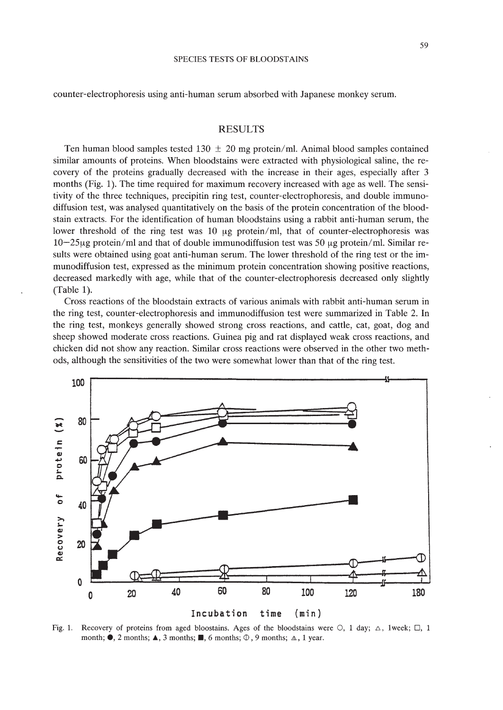counter-electrophoresis using anti-human serum absorbed with Japanese monkey serum.

# RESULTS

Ten human blood samples tested  $130 \pm 20$  mg protein/ml. Animal blood samples contained similar amounts of proteins. When bloodstains were extracted with physiological saline, the recovery of the proteins gradually decreased with the increase in their ages, especially after 3 months (Fig. 1). The time required for maximum recovery increased with age as well. The sensitivity of the three techniques, precipitin ring test, counter-electrophoresis, and double immunodiffusion test, was analysed quantitatively on the basis of the protein concentration of the bloodstain extracts. For the identification of human bloodstains using a rabbit anti-human serum, the lower threshold of the ring test was 10  $\mu$ g protein/ml, that of counter-electrophoresis was  $10-25\mu$ g protein/ml and that of double immunodiffusion test was 50  $\mu$ g protein/ml. Similar results were obtained using goat anti-human serum. The lower threshold of the ring test or the immunodiffusion test, expressed as the minimum protein concentration showing positive reactions, decreased markedly with age, while that of the counter-electrophoresis decreased only slightly (Table 1).

Cross reactions of the bloodstain extracts of various animals with rabbit anti-human serum in the ring test, counter-electrophoresis and immunodiffusion test were summarized in Table 2. In the ring test, monkeys generally showed strong cross reactions, and cattle, cat, goat, dog and sheep showed moderate cross reactions. Guinea pig and rat displayed weak cross reactions, and chicken did not show any reaction. Similar cross reactions were observed in the other two methods, although the sensitivities of the two were somewhat lower than that of the ring test.



Fig. 1. Recovery of proteins from aged bloostains. Ages of the bloodstains were  $\circ$ , 1 day;  $\circ$ , 1week;  $\Box$ , 1 month;  $\bullet$ , 2 months;  $\blacktriangle$ , 3 months;  $\blacksquare$ , 6 months;  $\heartsuit$ , 9 months;  $\triangle$ , 1 year.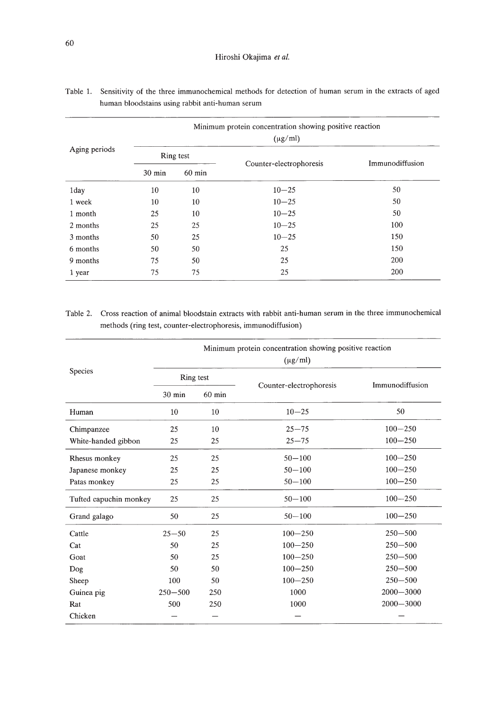| Aging periods | Minimum protein concentration showing positive reaction<br>$(\mu g/ml)$ |          |                         |                 |  |  |  |
|---------------|-------------------------------------------------------------------------|----------|-------------------------|-----------------|--|--|--|
|               | Ring test                                                               |          |                         |                 |  |  |  |
|               | $30 \text{ min}$                                                        | $60$ min | Counter-electrophoresis | Immunodiffusion |  |  |  |
| 1day          | 10                                                                      | 10       | $10 - 25$               | 50              |  |  |  |
| 1 week        | 10                                                                      | 10       | $10 - 25$               | 50              |  |  |  |
| 1 month       | 25                                                                      | 10       | $10 - 25$               | 50              |  |  |  |
| 2 months      | 25                                                                      | 25       | $10 - 25$               | 100             |  |  |  |
| 3 months      | 50                                                                      | 25       | $10 - 25$               | 150             |  |  |  |
| 6 months      | 50                                                                      | 50       | 25                      | 150             |  |  |  |
| 9 months      | 75                                                                      | 50       | 25                      | 200             |  |  |  |
| 1 year        | 75                                                                      | 75       | 25                      | 200             |  |  |  |

| Table 1. Sensitivity of the three immunochemical methods for detection of human serum in the extracts of aged |
|---------------------------------------------------------------------------------------------------------------|
| human bloodstains using rabbit anti-human serum                                                               |

# Table 2. Cross reaction of animal bloodstain extracts with rabbit anti-human serum in the three immunochemical methods (ring test, counter-electrophoresis, immunodiffusion)

|                        | Minimum protein concentration showing positive reaction<br>$(\mu g/ml)$ |                  |                         |                 |  |  |
|------------------------|-------------------------------------------------------------------------|------------------|-------------------------|-----------------|--|--|
| Species                | Ring test                                                               |                  |                         | Immunodiffusion |  |  |
|                        | $30 \text{ min}$                                                        | $60 \text{ min}$ | Counter-electrophoresis |                 |  |  |
| Human                  | 10                                                                      | 10               | $10 - 25$               | 50              |  |  |
| Chimpanzee             | 25                                                                      | 10               | $25 - 75$               | $100 - 250$     |  |  |
| White-handed gibbon    | 25                                                                      | 25               | $25 - 75$               | $100 - 250$     |  |  |
| Rhesus monkey          | 25                                                                      | 25               | $50 - 100$              | $100 - 250$     |  |  |
| Japanese monkey        | 25                                                                      | 25               | $50 - 100$              | $100 - 250$     |  |  |
| Patas monkey           | 25                                                                      | 25               | $50 - 100$              | $100 - 250$     |  |  |
| Tufted capuchin monkey | 25                                                                      | 25               | $50 - 100$              | $100 - 250$     |  |  |
| Grand galago           | 50                                                                      | 25               | $50 - 100$              | $100 - 250$     |  |  |
| Cattle                 | $25 - 50$                                                               | 25               | $100 - 250$             | $250 - 500$     |  |  |
| Cat                    | 50                                                                      | 25               | $100 - 250$             | $250 - 500$     |  |  |
| Goat                   | 50                                                                      | 25               | $100 - 250$             | $250 - 500$     |  |  |
| Dog                    | 50                                                                      | 50               | $100 - 250$             | $250 - 500$     |  |  |
| Sheep                  | 100                                                                     | 50               | $100 - 250$             | $250 - 500$     |  |  |
| Guinea pig             | $250 - 500$                                                             | 250              | 1000                    | $2000 - 3000$   |  |  |
| Rat                    | 500                                                                     | 250              | 1000                    | $2000 - 3000$   |  |  |
| Chicken                |                                                                         |                  |                         |                 |  |  |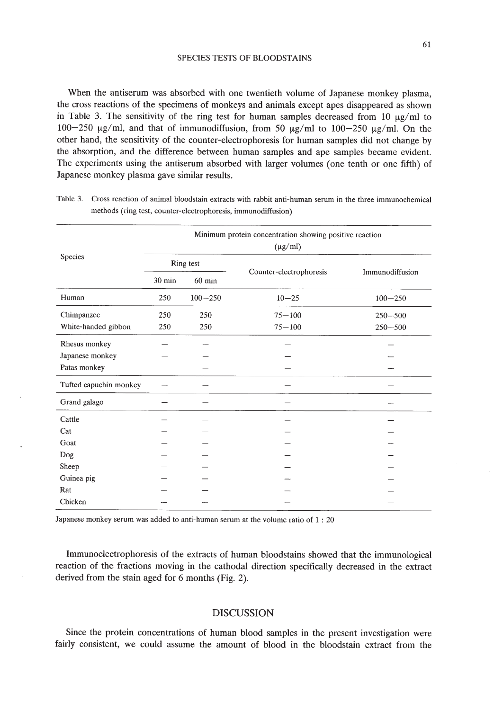When the antiserum was absorbed with one twentieth volume of Japanese monkey plasma, the cross reactions of the specimens of monkeys and animals except apes disappeared as shown in Table 3. The sensitivity of the ring test for human samples decreased from 10  $\mu$ g/ml to 100-250  $\mu$ g/ml, and that of immunodiffusion, from 50  $\mu$ g/ml to 100-250  $\mu$ g/ml. On the other hand, the sensitivity of the counter-electrophoresis for human samples did not change by the absorption, and the difference between human samples and ape samples became evident. The experiments using the antiserum absorbed with larger volumes (one tenth or one fifth) of Japanese monkey plasma gave similar results.

|                        | Minimum protein concentration showing positive reaction<br>$(\mu g/ml)$ |             |                         |                 |  |  |
|------------------------|-------------------------------------------------------------------------|-------------|-------------------------|-----------------|--|--|
| Species                | Ring test                                                               |             |                         |                 |  |  |
|                        | 30 min                                                                  | $60$ min    | Counter-electrophoresis | Immunodiffusion |  |  |
| Human                  | 250                                                                     | $100 - 250$ | $10 - 25$               | $100 - 250$     |  |  |
| Chimpanzee             | 250                                                                     | 250         | $75 - 100$              | $250 - 500$     |  |  |
| White-handed gibbon    | 250                                                                     | 250         | $75 - 100$              | $250 - 500$     |  |  |
| Rhesus monkey          |                                                                         |             |                         |                 |  |  |
| Japanese monkey        |                                                                         |             |                         |                 |  |  |
| Patas monkey           |                                                                         |             |                         |                 |  |  |
| Tufted capuchin monkey |                                                                         |             |                         |                 |  |  |
| Grand galago           |                                                                         |             |                         |                 |  |  |
| Cattle                 |                                                                         |             |                         |                 |  |  |
| Cat                    |                                                                         |             |                         |                 |  |  |
| Goat                   |                                                                         |             |                         |                 |  |  |
| Dog                    |                                                                         |             |                         |                 |  |  |
| Sheep                  |                                                                         |             |                         |                 |  |  |
| Guinea pig             |                                                                         |             |                         |                 |  |  |
| Rat                    |                                                                         |             |                         |                 |  |  |
| Chicken                |                                                                         |             |                         |                 |  |  |

Table 3. Cross reaction of animal bloodstain extracts with rabbit anti-human serum in the three immunochemical methods (ring test, counter-electrophoresis, immunodiffusion)

Japanese monkey serum was added to anti-human serum at the volume ratio of 1 : 20

Immunoelectrophoresis of the extracts of human bloodstains showed that the immunological reaction of the fractions moving in the cathodal direction specifically decreased in the extract derived from the stain aged for 6 months (Fig. 2).

# DISCUSSION

Since the protein concentrations of human blood samples in the present investigation were fairly consistent, we could assume the amount of blood in the bloodstain extract from the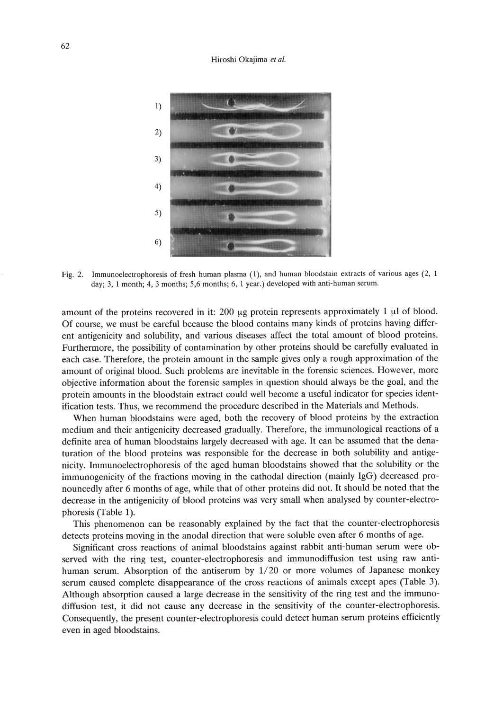#### Hiroshi Okajima *et al.*



Fig. 2. Immunoelectrophoresis of fresh human plasma (1), and human bloodstain extracts of various ages (2, 1 day; 3, 1 month; 4, 3 months; 5,6 months; 6, 1 year.) developed with anti-human serum.

amount of the proteins recovered in it: 200  $\mu$ g protein represents approximately 1  $\mu$ l of blood. Of course, we must be careful because the blood contains many kinds of proteins having different antigenicity and solubility, and various diseases affect the total amount of blood proteins. Furthermore, the possibility of contamination by other proteins should be carefully evaluated in each case. Therefore, the protein amount in the sample gives only a rough approximation of the amount of original blood. Such problems are inevitable in the forensic sciences. However, more objective information about the forensic samples in question should always be the goal, and the protein amounts in the bloodstain extract could well become a useful indicator for species identification tests. Thus, we recommend the procedure described in the Materials and Methods.

When human bloodstains were aged, both the recovery of blood proteins by the extraction medium and their antigenicity decreased gradually. Therefore, the immunological reactions of a definite area of human bloodstains largely decreased with age. It can be assumed that the denaturation of the blood proteins was responsible for the decrease in both solubility and antigenicity. Immunoelectrophoresis of the aged human bloodstains showed that the solubility or the immunogenicity of the fractions moving in the cathodal direction (mainly IgG) decreased pronouncedly after 6 months of age, while that of other proteins did not. It should be noted that the decrease in the antigenicity of blood proteins was very small when analysed by counter-electrophoresis (Table 1).

This phenomenon can be reasonably explained by the fact that the counter-electrophoresis detects proteins moving in the anodal direction that were soluble even after 6 months of age.

Significant cross reactions of animal bloodstains against rabbit anti-human serum were observed with the ring test, counter-electrophoresis and immunodiffusion test using raw antihuman serum. Absorption of the antiserum by 1/20 or more volumes of Japanese monkey serum caused complete disappearance of the cross reactions of animals except apes (Table 3). Although absorption caused a large decrease in the sensitivity of the ring test and the immunodiffusion test, it did not cause any decrease in the sensitivity of the counter-electrophoresis. Consequently, the present counter-electrophoresis could detect human serum proteins efficiently even in aged bloodstains.